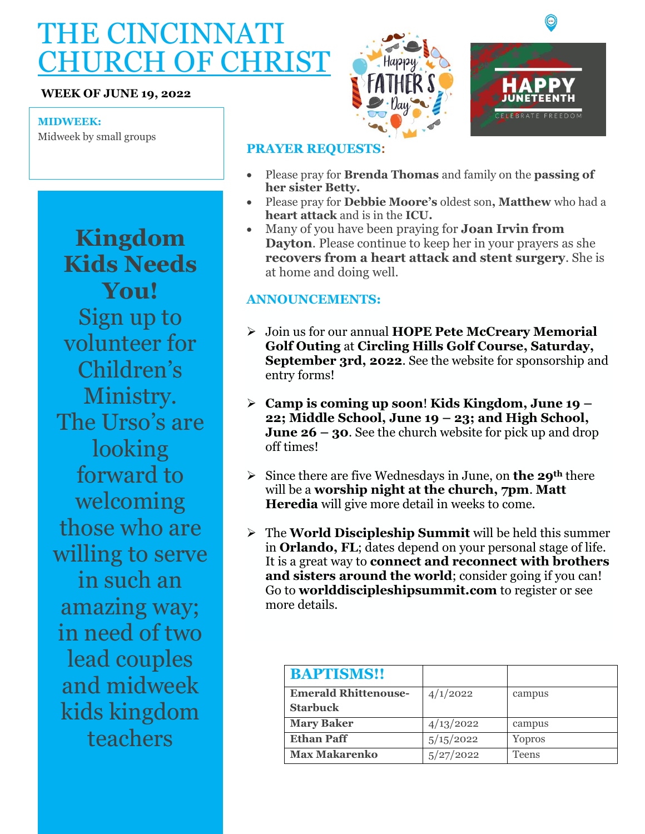# THE CINCINNATI CHURCH OF CHRIST

#### **WEEK OF JUNE 19, 2022**

#### **MIDWEEK:**

Midweek by small groups

**Kingdom Kids Needs You!**  Sign up to volunteer for Children's Ministry. The Urso's are looking forward to welcoming those who are willing to serve in such an amazing way; in need of two lead couples and midweek kids kingdom teachers





## **PRAYER REQUESTS:**

- Please pray for **Brenda Thomas** and family on the **passing of her sister Betty.**
- Please pray for **Debbie Moore's** oldest son**, Matthew** who had a **heart attack** and is in the **ICU.**
- Many of you have been praying for **Joan Irvin from Dayton**. Please continue to keep her in your prayers as she **recovers from a heart attack and stent surgery**. She is at home and doing well.

### **ANNOUNCEMENTS:**

- ➢ Join us for our annual **HOPE Pete McCreary Memorial Golf Outing** at **Circling Hills Golf Course, Saturday, September 3rd, 2022**. See the website for sponsorship and entry forms!
- ➢ **Camp is coming up soon**! **Kids Kingdom, June 19 – 22; Middle School, June 19 – 23; and High School, June 26 – 30**. See the church website for pick up and drop off times!
- ➢ Since there are five Wednesdays in June, on **the 29th** there will be a **worship night at the church, 7pm**. **Matt Heredia** will give more detail in weeks to come.
- ➢ The **World Discipleship Summit** will be held this summer in **Orlando, FL**; dates depend on your personal stage of life. It is a great way to **connect and reconnect with brothers and sisters around the world**; consider going if you can! Go to **worlddiscipleshipsummit.com** to register or see more details.

| <b>BAPTISMS!!</b>           |           |        |
|-----------------------------|-----------|--------|
| <b>Emerald Rhittenouse-</b> | 4/1/2022  | campus |
| <b>Starbuck</b>             |           |        |
| <b>Mary Baker</b>           | 4/13/2022 | campus |
| <b>Ethan Paff</b>           | 5/15/2022 | Yopros |
| <b>Max Makarenko</b>        | 5/27/2022 | Teens  |